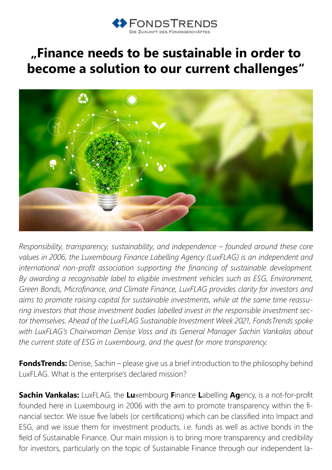

## **"Finance needs to be sustainable in order to become a solution to our current challenges"**



*Responsibility, transparency, sustainability, and independence – founded around these core values in 2006, the Luxembourg Finance Labelling Agency (LuxFLAG) is an independent and international non-profit association supporting the financing of sustainable development. By awarding a recognisable label to eligible investment vehicles such as ESG, Environment, Green Bonds, Microfinance, and Climate Finance, LuxFLAG provides clarity for investors and aims to promote raising capital for sustainable investments, while at the same time reassuring investors that those investment bodies labelled invest in the responsible investment sector themselves. Ahead of the LuxFLAG Sustainable Investment Week 2021, FondsTrends spoke with LuxFLAG's Chairwoman Denise Voss and its General Manager Sachin Vankalas about the current state of ESG in Luxembourg, and the quest for more transparency.*

**FondsTrends:** Denise, Sachin – please give us a brief introduction to the philosophy behind LuxFLAG. What is the enterprise's declared mission?

**Sachin Vankalas:** LuxFLAG, the **Lu**xembourg **F**inance **L**abelling **Ag**ency, is a not-for-profit founded here in Luxembourg in 2006 with the aim to promote transparency within the financial sector. We issue five labels (or certifications) which can be classified into Impact and ESG, and we issue them for investment products, i.e. funds as well as active bonds in the field of Sustainable Finance. Our main mission is to bring more transparency and credibility for investors, particularly on the topic of Sustainable Finance through our independent la-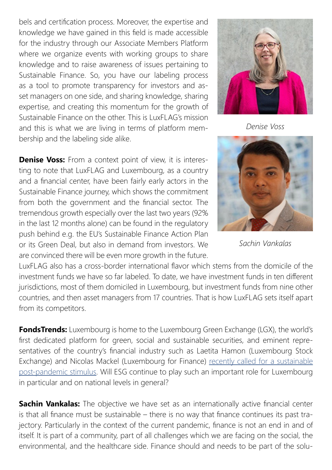bels and certification process. Moreover, the expertise and knowledge we have gained in this field is made accessible for the industry through our Associate Members Platform where we organize events with working groups to share knowledge and to raise awareness of issues pertaining to Sustainable Finance. So, you have our labeling process as a tool to promote transparency for investors and asset managers on one side, and sharing knowledge, sharing expertise, and creating this momentum for the growth of Sustainable Finance on the other. This is LuxFLAG's mission and this is what we are living in terms of platform membership and the labeling side alike.

**Denise Voss:** From a context point of view, it is interesting to note that LuxFLAG and Luxembourg, as a country and a financial center, have been fairly early actors in the Sustainable Finance journey, which shows the commitment from both the government and the financial sector. The tremendous growth especially over the last two years (92% in the last 12 months alone) can be found in the regulatory push behind e.g. the EU's Sustainable Finance Action Plan or its Green Deal, but also in demand from investors. We are convinced there will be even more growth in the future.



*Denise Voss*



*Sachin Vankalas*

LuxFLAG also has a cross-border international flavor which stems from the domicile of the investment funds we have so far labeled. To date, we have investment funds in ten different jurisdictions, most of them domiciled in Luxembourg, but investment funds from nine other countries, and then asset managers from 17 countries. That is how LuxFLAG sets itself apart from its competitors.

**FondsTrends:** Luxembourg is home to the Luxembourg Green Exchange (LGX), the world's first dedicated platform for green, social and sustainable securities, and eminent representatives of the country's financial industry such as Laetita Hamon (Luxembourg Stock Exchange) and Nicolas Mackel (Luxembourg for Finance) [recently called for a sustainable](https://www.ft.com/content/b406c9ce-8673-498e-bdf4-ffd139a14e66) [post-pandemic stimulus.](https://www.ft.com/content/b406c9ce-8673-498e-bdf4-ffd139a14e66) Will ESG continue to play such an important role for Luxembourg in particular and on national levels in general?

**Sachin Vankalas:** The objective we have set as an internationally active financial center is that all finance must be sustainable – there is no way that finance continues its past trajectory. Particularly in the context of the current pandemic, finance is not an end in and of itself. It is part of a community, part of all challenges which we are facing on the social, the environmental, and the healthcare side. Finance should and needs to be part of the solu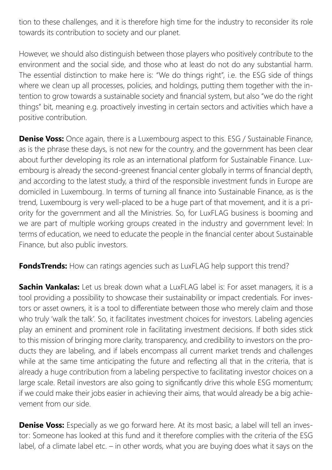tion to these challenges, and it is therefore high time for the industry to reconsider its role towards its contribution to society and our planet.

However, we should also distinguish between those players who positively contribute to the environment and the social side, and those who at least do not do any substantial harm. The essential distinction to make here is: "We do things right", i.e. the ESG side of things where we clean up all processes, policies, and holdings, putting them together with the intention to grow towards a sustainable society and financial system, but also "we do the right things" bit, meaning e.g. proactively investing in certain sectors and activities which have a positive contribution.

**Denise Voss:** Once again, there is a Luxembourg aspect to this. ESG / Sustainable Finance, as is the phrase these days, is not new for the country, and the government has been clear about further developing its role as an international platform for Sustainable Finance. Luxembourg is already the second-greenest financial center globally in terms of financial depth, and according to the latest study, a third of the responsible investment funds in Europe are domiciled in Luxembourg. In terms of turning all finance into Sustainable Finance, as is the trend, Luxembourg is very well-placed to be a huge part of that movement, and it is a priority for the government and all the Ministries. So, for LuxFLAG business is booming and we are part of multiple working groups created in the industry and government level: In terms of education, we need to educate the people in the financial center about Sustainable Finance, but also public investors.

**FondsTrends:** How can ratings agencies such as LuxFLAG help support this trend?

**Sachin Vankalas:** Let us break down what a LuxFLAG label is: For asset managers, it is a tool providing a possibility to showcase their sustainability or impact credentials. For investors or asset owners, it is a tool to differentiate between those who merely claim and those who truly 'walk the talk'. So, it facilitates investment choices for investors. Labeling agencies play an eminent and prominent role in facilitating investment decisions. If both sides stick to this mission of bringing more clarity, transparency, and credibility to investors on the products they are labeling, and if labels encompass all current market trends and challenges while at the same time anticipating the future and reflecting all that in the criteria, that is already a huge contribution from a labeling perspective to facilitating investor choices on a large scale. Retail investors are also going to significantly drive this whole ESG momentum; if we could make their jobs easier in achieving their aims, that would already be a big achievement from our side.

**Denise Voss:** Especially as we go forward here. At its most basic, a label will tell an investor: Someone has looked at this fund and it therefore complies with the criteria of the ESG label, of a climate label etc. – in other words, what you are buying does what it says on the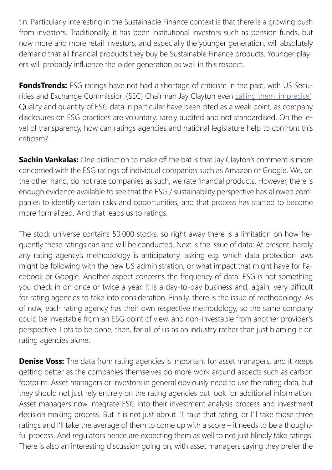tin. Particularly interesting in the Sustainable Finance context is that there is a growing push from investors. Traditionally, it has been institutional investors such as pension funds, but now more and more retail investors, and especially the younger generation, will absolutely demand that all financial products they buy be Sustainable Finance products. Younger players will probably influence the older generation as well in this respect.

**FondsTrends:** ESG ratings have not had a shortage of criticism in the past, with US Securities and Exchange Commission (SEC) Chairman Jay Clayton even calling them , imprecise'. Quality and quantity of ESG data in particular have been cited as a weak point, as company disclosures on ESG practices are voluntary, rarely audited and not standardised. On the level of transparency, how can ratings agencies and national legislature help to confront this criticism?

**Sachin Vankalas:** One distinction to make off the bat is that Jay Clayton's comment is more concerned with the ESG ratings of individual companies such as Amazon or Google. We, on the other hand, do not rate companies as such, we rate financial products. However, there is enough evidence available to see that the ESG / sustainability perspective has allowed companies to identify certain risks and opportunities, and that process has started to become more formalized. And that leads us to ratings.

The stock universe contains 50,000 stocks, so right away there is a limitation on how frequently these ratings can and will be conducted. Next is the issue of data: At present, hardly any rating agency's methodology is anticipatory, asking e.g. which data protection laws might be following with the new US administration, or what impact that might have for Facebook or Google. Another aspect concerns the frequency of data: ESG is not something you check in on once or twice a year. It is a day-to-day business and, again, very difficult for rating agencies to take into consideration. Finally, there is the issue of methodology: As of now, each rating agency has their own respective methodology, so the same company could be investable from an ESG point of view, and non-investable from another provider's perspective. Lots to be done, then, for all of us as an industry rather than just blaming it on rating agencies alone.

**Denise Voss:** The data from rating agencies is important for asset managers, and it keeps getting better as the companies themselves do more work around aspects such as carbon footprint. Asset managers or investors in general obviously need to use the rating data, but they should not just rely entirely on the rating agencies but look for additional information. Asset managers now integrate ESG into their investment analysis process and investment decision making process. But it is not just about I'll take that rating, or I'll take those three ratings and I'll take the average of them to come up with a score – it needs to be a thoughtful process. And regulators hence are expecting them as well to not just blindly take ratings. There is also an interesting discussion going on, with asset managers saying they prefer the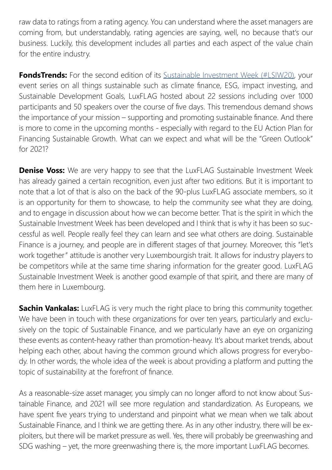raw data to ratings from a rating agency. You can understand where the asset managers are coming from, but understandably, rating agencies are saying, well, no because that's our business. Luckily, this development includes all parties and each aspect of the value chain for the entire industry.

**FondsTrends:** For the second edition of its [Sustainable Investment Week \(#LSIW20\)](https://www.luxflag.org/pages/news-detail.html?newsidcatsideback=24&newsstartmonth=13&newsmonthback=-1&newsidarticle=306&newscategory=0&newspage=1), your event series on all things sustainable such as climate finance, ESG, impact investing, and Sustainable Development Goals, LuxFLAG hosted about 22 sessions including over 1000 participants and 50 speakers over the course of five days. This tremendous demand shows the importance of your mission – supporting and promoting sustainable finance. And there is more to come in the upcoming months - especially with regard to the EU Action Plan for Financing Sustainable Growth. What can we expect and what will be the "Green Outlook" for 2021?

**Denise Voss:** We are very happy to see that the LuxFLAG Sustainable Investment Week has already gained a certain recognition, even just after two editions. But it is important to note that a lot of that is also on the back of the 90-plus LuxFLAG associate members, so it is an opportunity for them to showcase, to help the community see what they are doing, and to engage in discussion about how we can become better. That is the spirit in which the Sustainable Investment Week has been developed and I think that is why it has been so successful as well. People really feel they can learn and see what others are doing. Sustainable Finance is a journey, and people are in different stages of that journey. Moreover, this "let's work together" attitude is another very Luxembourgish trait. It allows for industry players to be competitors while at the same time sharing information for the greater good. LuxFLAG Sustainable Investment Week is another good example of that spirit, and there are many of them here in Luxembourg.

**Sachin Vankalas:** LuxFLAG is very much the right place to bring this community together. We have been in touch with these organizations for over ten years, particularly and exclusively on the topic of Sustainable Finance, and we particularly have an eye on organizing these events as content-heavy rather than promotion-heavy. It's about market trends, about helping each other, about having the common ground which allows progress for everybody. In other words, the whole idea of the week is about providing a platform and putting the topic of sustainability at the forefront of finance.

As a reasonable-size asset manager, you simply can no longer afford to not know about Sustainable Finance, and 2021 will see more regulation and standardization. As Europeans, we have spent five years trying to understand and pinpoint what we mean when we talk about Sustainable Finance, and I think we are getting there. As in any other industry, there will be exploiters, but there will be market pressure as well. Yes, there will probably be greenwashing and SDG washing – yet, the more greenwashing there is, the more important LuxFLAG becomes.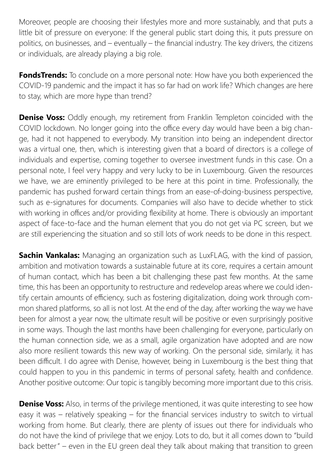Moreover, people are choosing their lifestyles more and more sustainably, and that puts a little bit of pressure on everyone: If the general public start doing this, it puts pressure on politics, on businesses, and – eventually – the financial industry. The key drivers, the citizens or individuals, are already playing a big role.

**FondsTrends:** To conclude on a more personal note: How have you both experienced the COVID-19 pandemic and the impact it has so far had on work life? Which changes are here to stay, which are more hype than trend?

**Denise Voss:** Oddly enough, my retirement from Franklin Templeton coincided with the COVID lockdown. No longer going into the office every day would have been a big change, had it not happened to everybody. My transition into being an independent director was a virtual one, then, which is interesting given that a board of directors is a college of individuals and expertise, coming together to oversee investment funds in this case. On a personal note, I feel very happy and very lucky to be in Luxembourg. Given the resources we have, we are eminently privileged to be here at this point in time. Professionally, the pandemic has pushed forward certain things from an ease-of-doing-business perspective, such as e-signatures for documents. Companies will also have to decide whether to stick with working in offices and/or providing flexibility at home. There is obviously an important aspect of face-to-face and the human element that you do not get via PC screen, but we are still experiencing the situation and so still lots of work needs to be done in this respect.

**Sachin Vankalas:** Managing an organization such as LuxFLAG, with the kind of passion, ambition and motivation towards a sustainable future at its core, requires a certain amount of human contact, which has been a bit challenging these past few months. At the same time, this has been an opportunity to restructure and redevelop areas where we could identify certain amounts of efficiency, such as fostering digitalization, doing work through common shared platforms, so all is not lost. At the end of the day, after working the way we have been for almost a year now, the ultimate result will be positive or even surprisingly positive in some ways. Though the last months have been challenging for everyone, particularly on the human connection side, we as a small, agile organization have adopted and are now also more resilient towards this new way of working. On the personal side, similarly, it has been difficult. I do agree with Denise, however, being in Luxembourg is the best thing that could happen to you in this pandemic in terms of personal safety, health and confidence. Another positive outcome: Our topic is tangibly becoming more important due to this crisis.

**Denise Voss:** Also, in terms of the privilege mentioned, it was quite interesting to see how easy it was – relatively speaking – for the financial services industry to switch to virtual working from home. But clearly, there are plenty of issues out there for individuals who do not have the kind of privilege that we enjoy. Lots to do, but it all comes down to "build back better" – even in the EU green deal they talk about making that transition to green